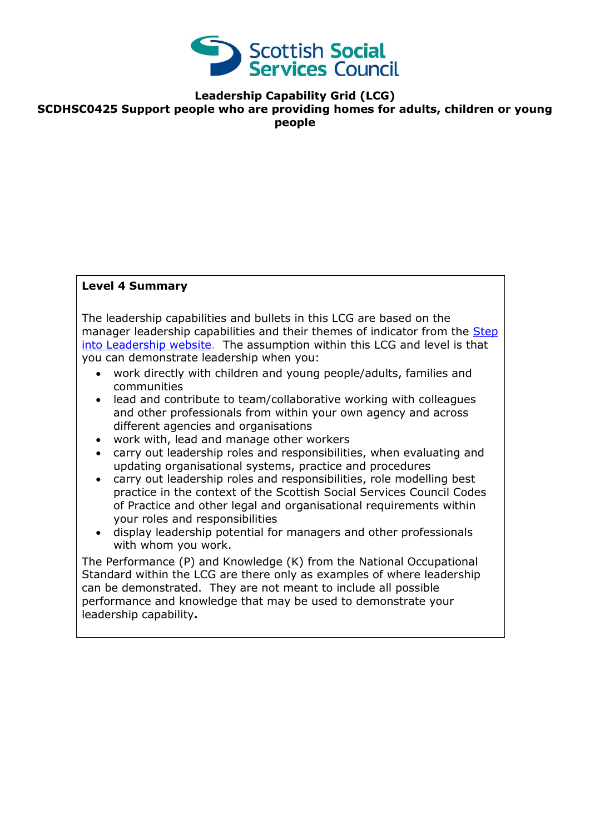

**Leadership Capability Grid (LCG)**

**SCDHSC0425 Support people who are providing homes for adults, children or young people**

### **Level 4 Summary**

The leadership capabilities and bullets in this LCG are based on the manager leadership capabilities and their themes of indicator from the Step [into Leadership website.](http://www.stepintoleadership.info/) The assumption within this LCG and level is that you can demonstrate leadership when you:

- work directly with children and young people/adults, families and communities
- lead and contribute to team/collaborative working with colleagues and other professionals from within your own agency and across different agencies and organisations
- work with, lead and manage other workers
- carry out leadership roles and responsibilities, when evaluating and updating organisational systems, practice and procedures
- carry out leadership roles and responsibilities, role modelling best practice in the context of the Scottish Social Services Council Codes of Practice and other legal and organisational requirements within your roles and responsibilities
- display leadership potential for managers and other professionals with whom you work.

The Performance (P) and Knowledge (K) from the National Occupational Standard within the LCG are there only as examples of where leadership can be demonstrated. They are not meant to include all possible performance and knowledge that may be used to demonstrate your leadership capability**.**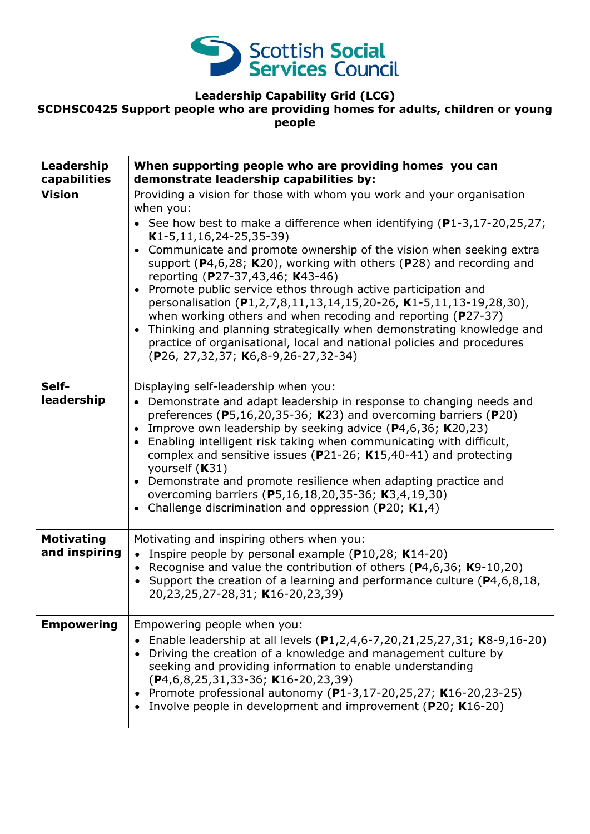

# **Leadership Capability Grid (LCG)**

## **SCDHSC0425 Support people who are providing homes for adults, children or young people**

| Leadership<br>capabilities         | When supporting people who are providing homes you can<br>demonstrate leadership capabilities by:                                                                                                                                                                                                                                                                                                                                                                                                                                                                                                                                                                                                                                                                                                                               |
|------------------------------------|---------------------------------------------------------------------------------------------------------------------------------------------------------------------------------------------------------------------------------------------------------------------------------------------------------------------------------------------------------------------------------------------------------------------------------------------------------------------------------------------------------------------------------------------------------------------------------------------------------------------------------------------------------------------------------------------------------------------------------------------------------------------------------------------------------------------------------|
| <b>Vision</b>                      | Providing a vision for those with whom you work and your organisation<br>when you:<br>• See how best to make a difference when identifying $(P1-3, 17-20, 25, 27)$ ;<br>$K1-5, 11, 16, 24-25, 35-39)$<br>Communicate and promote ownership of the vision when seeking extra<br>$\bullet$<br>support ( $P$ 4,6,28; K20), working with others ( $P$ 28) and recording and<br>reporting (P27-37,43,46; K43-46)<br>Promote public service ethos through active participation and<br>personalisation (P1,2,7,8,11,13,14,15,20-26, K1-5,11,13-19,28,30),<br>when working others and when recoding and reporting (P27-37)<br>Thinking and planning strategically when demonstrating knowledge and<br>$\bullet$<br>practice of organisational, local and national policies and procedures<br>$(P26, 27, 32, 37; K6, 8-9, 26-27, 32-34)$ |
| Self-<br>leadership                | Displaying self-leadership when you:<br>• Demonstrate and adapt leadership in response to changing needs and<br>preferences ( $P5,16,20,35-36$ ; K23) and overcoming barriers ( $P20$ )<br>Improve own leadership by seeking advice $(P4,6,36; K20,23)$<br>$\bullet$<br>Enabling intelligent risk taking when communicating with difficult,<br>complex and sensitive issues ( $P$ 21-26; K15,40-41) and protecting<br>yourself (K31)<br>Demonstrate and promote resilience when adapting practice and<br>$\bullet$<br>overcoming barriers (P5,16,18,20,35-36; K3,4,19,30)<br>Challenge discrimination and oppression ( $P20$ ; K1,4)                                                                                                                                                                                            |
| <b>Motivating</b><br>and inspiring | Motivating and inspiring others when you:<br>• Inspire people by personal example ( $P10,28$ ; K14-20)<br>Recognise and value the contribution of others ( $P4,6,36$ ; K9-10,20)<br>$\bullet$<br>• Support the creation of a learning and performance culture ( $P4, 6, 8, 18$ ,<br>20,23,25,27-28,31; K16-20,23,39)                                                                                                                                                                                                                                                                                                                                                                                                                                                                                                            |
| <b>Empowering</b>                  | Empowering people when you:<br>Enable leadership at all levels (P1,2,4,6-7,20,21,25,27,31; K8-9,16-20)<br>Driving the creation of a knowledge and management culture by<br>seeking and providing information to enable understanding<br>$(P4, 6, 8, 25, 31, 33-36; K16-20, 23, 39)$<br>Promote professional autonomy (P1-3,17-20,25,27; K16-20,23-25)<br>٠<br>Involve people in development and improvement (P20; K16-20)                                                                                                                                                                                                                                                                                                                                                                                                       |